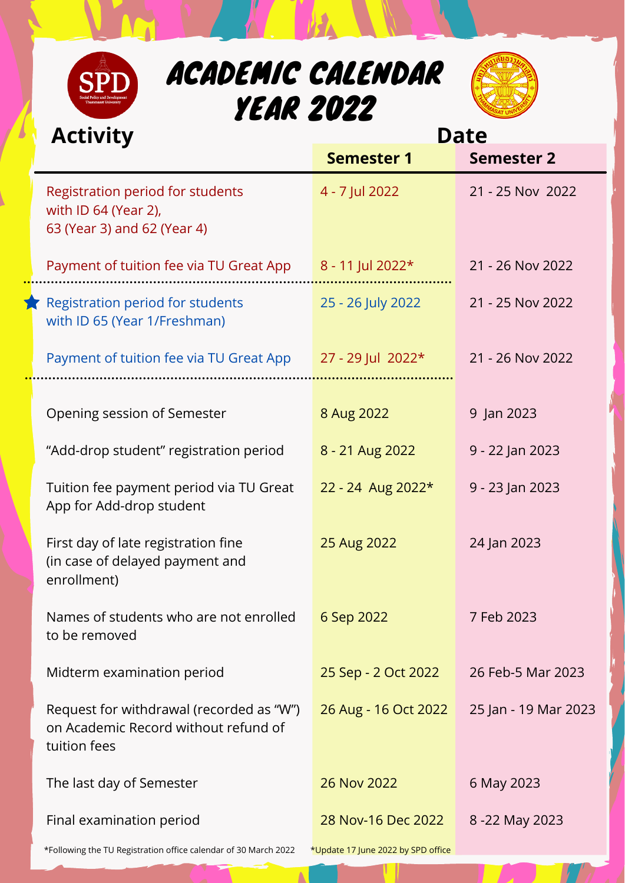| ACADEMIC CALENDAR<br><b>SPD</b><br><b>YEAR 2022</b>                                            |                   |                   |  |  |  |  |  |  |  |  |
|------------------------------------------------------------------------------------------------|-------------------|-------------------|--|--|--|--|--|--|--|--|
| <b>Activity</b>                                                                                | <b>Date</b>       |                   |  |  |  |  |  |  |  |  |
|                                                                                                | <b>Semester 1</b> | <b>Semester 2</b> |  |  |  |  |  |  |  |  |
| <b>Registration period for students</b><br>with ID 64 (Year 2),<br>63 (Year 3) and 62 (Year 4) | 4 - 7 Jul 2022    | 21 - 25 Nov 2022  |  |  |  |  |  |  |  |  |
| Payment of tuition fee via TU Great App                                                        | 8 - 11 Jul 2022*  | 21 - 26 Nov 2022  |  |  |  |  |  |  |  |  |
| <b>Registration period for students</b><br>with ID 65 (Year 1/Freshman)                        | 25 - 26 July 2022 | 21 - 25 Nov 2022  |  |  |  |  |  |  |  |  |
| Payment of tuition fee via TU Great App                                                        | 27 - 29 Jul 2022* | 21 - 26 Nov 2022  |  |  |  |  |  |  |  |  |
| <b>Opening session of Semester</b>                                                             | 8 Aug 2022        | 9 Jan 2023        |  |  |  |  |  |  |  |  |
| "Add-drop student" registration period                                                         | 8 - 21 Aug 2022   | 9 - 22 Jan 2023   |  |  |  |  |  |  |  |  |

 $\mathcal{F}$  and  $\mathcal{F}$ 

| Tuition fee payment period via TU Great<br>App for Add-drop student                              | 22 - 24 Aug 2022*                  | 9 - 23 Jan 2023      |  |  |  |  |  |
|--------------------------------------------------------------------------------------------------|------------------------------------|----------------------|--|--|--|--|--|
| First day of late registration fine<br>(in case of delayed payment and<br>enrollment)            | 25 Aug 2022                        | 24 Jan 2023          |  |  |  |  |  |
| Names of students who are not enrolled<br>to be removed                                          | 6 Sep 2022                         | 7 Feb 2023           |  |  |  |  |  |
| Midterm examination period                                                                       | 25 Sep - 2 Oct 2022                | 26 Feb-5 Mar 2023    |  |  |  |  |  |
| Request for withdrawal (recorded as "W")<br>on Academic Record without refund of<br>tuition fees | 26 Aug - 16 Oct 2022               | 25 Jan - 19 Mar 2023 |  |  |  |  |  |
| The last day of Semester                                                                         | 26 Nov 2022                        | 6 May 2023           |  |  |  |  |  |
| Final examination period                                                                         | 28 Nov-16 Dec 2022                 | 8 -22 May 2023       |  |  |  |  |  |
| *Following the TU Registration office calendar of 30 March 2022                                  | *Update 17 June 2022 by SPD office |                      |  |  |  |  |  |